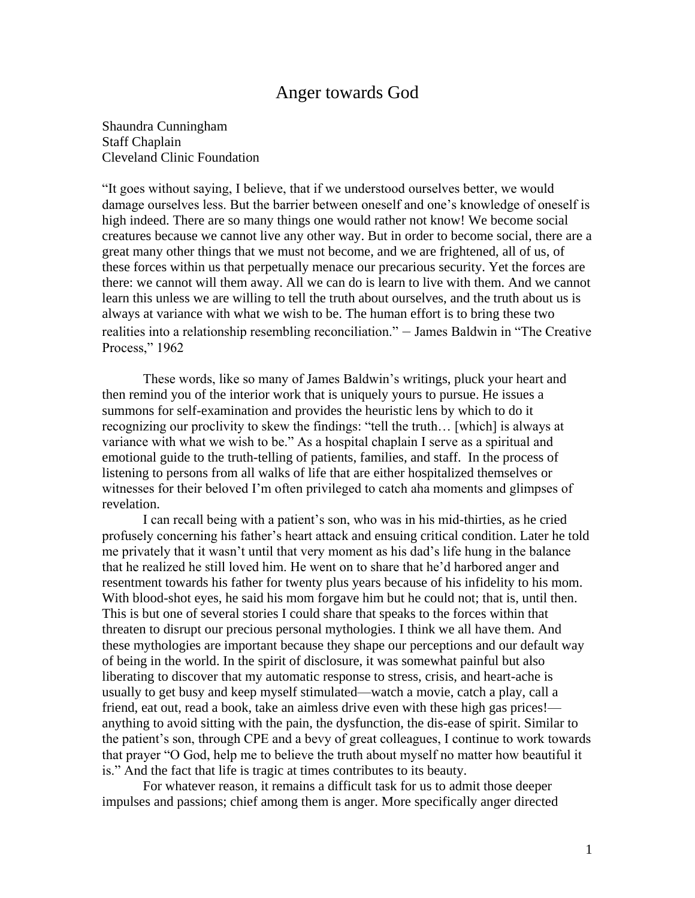## Anger towards God

Shaundra Cunningham Staff Chaplain Cleveland Clinic Foundation

"It goes without saying, I believe, that if we understood ourselves better, we would damage ourselves less. But the barrier between oneself and one's knowledge of oneself is high indeed. There are so many things one would rather not know! We become social creatures because we cannot live any other way. But in order to become social, there are a great many other things that we must not become, and we are frightened, all of us, of these forces within us that perpetually menace our precarious security. Yet the forces are there: we cannot will them away. All we can do is learn to live with them. And we cannot learn this unless we are willing to tell the truth about ourselves, and the truth about us is always at variance with what we wish to be. The human effort is to bring these two realities into a relationship resembling reconciliation." – James Baldwin in "The Creative Process," 1962

These words, like so many of James Baldwin's writings, pluck your heart and then remind you of the interior work that is uniquely yours to pursue. He issues a summons for self-examination and provides the heuristic lens by which to do it recognizing our proclivity to skew the findings: "tell the truth… [which] is always at variance with what we wish to be." As a hospital chaplain I serve as a spiritual and emotional guide to the truth-telling of patients, families, and staff. In the process of listening to persons from all walks of life that are either hospitalized themselves or witnesses for their beloved I'm often privileged to catch aha moments and glimpses of revelation.

I can recall being with a patient's son, who was in his mid-thirties, as he cried profusely concerning his father's heart attack and ensuing critical condition. Later he told me privately that it wasn't until that very moment as his dad's life hung in the balance that he realized he still loved him. He went on to share that he'd harbored anger and resentment towards his father for twenty plus years because of his infidelity to his mom. With blood-shot eyes, he said his mom forgave him but he could not; that is, until then. This is but one of several stories I could share that speaks to the forces within that threaten to disrupt our precious personal mythologies. I think we all have them. And these mythologies are important because they shape our perceptions and our default way of being in the world. In the spirit of disclosure, it was somewhat painful but also liberating to discover that my automatic response to stress, crisis, and heart-ache is usually to get busy and keep myself stimulated—watch a movie, catch a play, call a friend, eat out, read a book, take an aimless drive even with these high gas prices! anything to avoid sitting with the pain, the dysfunction, the dis-ease of spirit. Similar to the patient's son, through CPE and a bevy of great colleagues, I continue to work towards that prayer "O God, help me to believe the truth about myself no matter how beautiful it is." And the fact that life is tragic at times contributes to its beauty.

For whatever reason, it remains a difficult task for us to admit those deeper impulses and passions; chief among them is anger. More specifically anger directed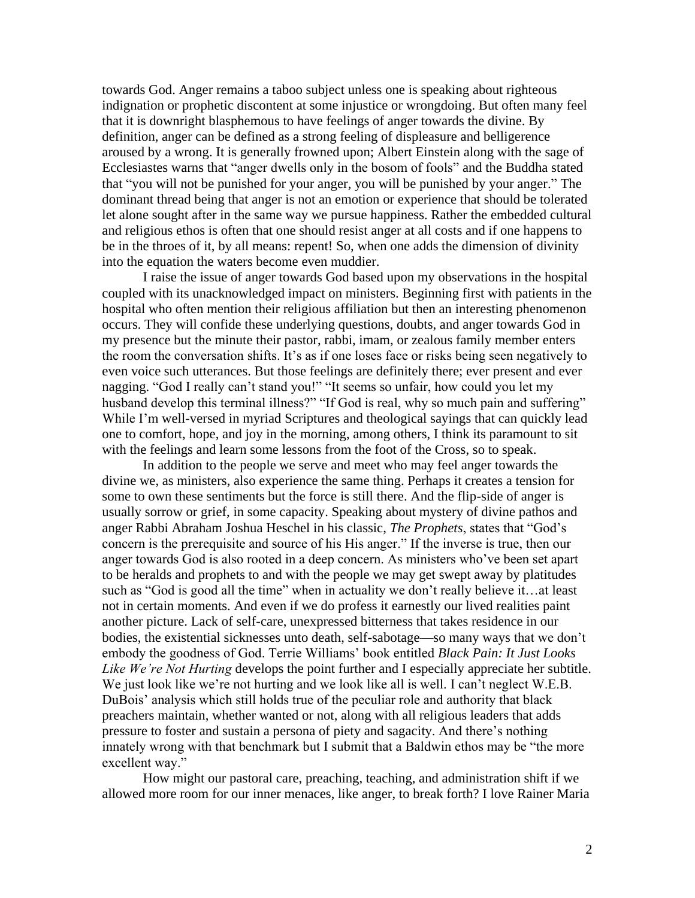towards God. Anger remains a taboo subject unless one is speaking about righteous indignation or prophetic discontent at some injustice or wrongdoing. But often many feel that it is downright blasphemous to have feelings of anger towards the divine. By definition, anger can be defined as a strong feeling of displeasure and belligerence aroused by a wrong. It is generally frowned upon; Albert Einstein along with the sage of Ecclesiastes warns that "anger dwells only in the bosom of fools" and the Buddha stated that "you will not be punished for your anger, you will be punished by your anger." The dominant thread being that anger is not an emotion or experience that should be tolerated let alone sought after in the same way we pursue happiness. Rather the embedded cultural and religious ethos is often that one should resist anger at all costs and if one happens to be in the throes of it, by all means: repent! So, when one adds the dimension of divinity into the equation the waters become even muddier.

I raise the issue of anger towards God based upon my observations in the hospital coupled with its unacknowledged impact on ministers. Beginning first with patients in the hospital who often mention their religious affiliation but then an interesting phenomenon occurs. They will confide these underlying questions, doubts, and anger towards God in my presence but the minute their pastor, rabbi, imam, or zealous family member enters the room the conversation shifts. It's as if one loses face or risks being seen negatively to even voice such utterances. But those feelings are definitely there; ever present and ever nagging. "God I really can't stand you!" "It seems so unfair, how could you let my husband develop this terminal illness?" "If God is real, why so much pain and suffering" While I'm well-versed in myriad Scriptures and theological sayings that can quickly lead one to comfort, hope, and joy in the morning, among others, I think its paramount to sit with the feelings and learn some lessons from the foot of the Cross, so to speak.

In addition to the people we serve and meet who may feel anger towards the divine we, as ministers, also experience the same thing. Perhaps it creates a tension for some to own these sentiments but the force is still there. And the flip-side of anger is usually sorrow or grief, in some capacity. Speaking about mystery of divine pathos and anger Rabbi Abraham Joshua Heschel in his classic, *The Prophets*, states that "God's concern is the prerequisite and source of his His anger." If the inverse is true, then our anger towards God is also rooted in a deep concern. As ministers who've been set apart to be heralds and prophets to and with the people we may get swept away by platitudes such as "God is good all the time" when in actuality we don't really believe it…at least not in certain moments. And even if we do profess it earnestly our lived realities paint another picture. Lack of self-care, unexpressed bitterness that takes residence in our bodies, the existential sicknesses unto death, self-sabotage—so many ways that we don't embody the goodness of God. Terrie Williams' book entitled *Black Pain: It Just Looks Like We're Not Hurting* develops the point further and I especially appreciate her subtitle. We just look like we're not hurting and we look like all is well. I can't neglect W.E.B. DuBois' analysis which still holds true of the peculiar role and authority that black preachers maintain, whether wanted or not, along with all religious leaders that adds pressure to foster and sustain a persona of piety and sagacity. And there's nothing innately wrong with that benchmark but I submit that a Baldwin ethos may be "the more excellent way."

How might our pastoral care, preaching, teaching, and administration shift if we allowed more room for our inner menaces, like anger, to break forth? I love Rainer Maria